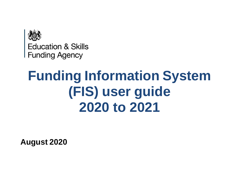

**Education & Skills Funding Agency** 

# **Funding Information System (FIS) user guide 2020 to 2021**

**August 2020**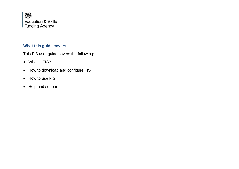

# **What this guide covers**

This FIS user guide covers the following:

- What is FIS?
- How to download and configure FIS
- How to use FIS
- Help and support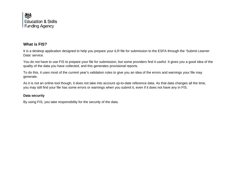

## **What is FIS?**

It is a desktop application designed to help you prepare your ILR file for submission to the ESFA through the 'Submit Learner Data' service.

You do not have to use FIS to prepare your file for submission, but some providers find it useful. It gives you a good idea of the quality of the data you have collected, and this generates provisional reports.

To do this, it uses most of the current year's validation rules to give you an idea of the errors and warnings your file may generate.

As it is not an online tool though, it does not take into account up-to-date reference data. As that data changes all the time, you may still find your file has some errors or warnings when you submit it, even if it does not have any in FIS.

#### **Data security**

By using FIS, you take responsibility for the security of the data.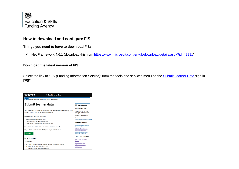

#### **Things you need to have to download FIS:**

.Net Framework 4.6.1 (download this from [https://www.microsoft.com/en-gb/download/details.aspx?id=49981\)](https://www.microsoft.com/en-gb/download/details.aspx?id=49981)

#### **Download the latest version of FIS**

Select the link to 'FIS (Funding Information Service)' from the tools and services menu on the Submit [Learner](https://submitlearnerdatabeta.fasst.org.uk/) Data sign in page.

| ക്ക GOV.UK<br>Submit learner data                                                                                     |                                                                                                 |
|-----------------------------------------------------------------------------------------------------------------------|-------------------------------------------------------------------------------------------------|
| BETA This is a new service - your feedback will help us to improve it.                                                |                                                                                                 |
| Submit learner data                                                                                                   | <b>Help and support</b>                                                                         |
|                                                                                                                       | <b>ESFA</b> support desk                                                                        |
| This service is for training providers that receive funding directly from<br>the Education and Skills Funding Agency. | Telephone: 0370 267 0001<br>Monday to Thursday, 9:00am<br>to 5:00pm<br>Friday, 9:00am to 4:00pm |
| Use this service to validate and submit:                                                                              |                                                                                                 |
| · Individualised learner records (ILR)                                                                                | Email:<br>sde.servicedesk@education.gov                                                         |
| · Earnings adjustment statements (EAS)                                                                                | <b>Related content</b>                                                                          |
| · ESF (European Social Fund) supplementary data                                                                       |                                                                                                 |
| You can also view and download reports for data you've submitted.                                                     | How to become an approved<br>training provider                                                  |
| Mayoral Combined Authorities (MCAs) can only download reports.                                                        | 2020 to 2021 submission<br>timetable (appendix A)                                               |
| Sign in $\geq$                                                                                                        | 2019 to 2020 submission<br>timetable (appendix A)                                               |
|                                                                                                                       | <b>Tools and services</b>                                                                       |
| <b>Before you start</b>                                                                                               | <b>FIS (Funding Information</b>                                                                 |
| You will need:                                                                                                        | Service)                                                                                        |
|                                                                                                                       | Find a Learning Aim                                                                             |
| . vour IdAMS (Information Management Services system) login details                                                   | ILR Learner entry tool                                                                          |
| . an XML or Zip file to upload - for ILR data                                                                         | <b>ILR FileMerge</b>                                                                            |
| . a CSV file to upload - for EAS and ESF data                                                                         |                                                                                                 |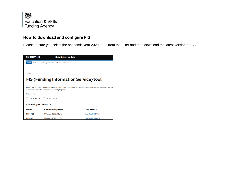

Please ensure you select the academic year 2020 to 21 from the Filter and then download the latest version of FIS.

| <b>盐 GOV.UK</b>            | <b>Submit learner data</b>                                        |                                                                                                                       |
|----------------------------|-------------------------------------------------------------------|-----------------------------------------------------------------------------------------------------------------------|
| <b>BETA</b>                | This is a new service - your feedback will help us to improve it. |                                                                                                                       |
|                            |                                                                   |                                                                                                                       |
| 4 Back                     |                                                                   |                                                                                                                       |
|                            | <b>FIS (Funding Information Service) tool</b>                     |                                                                                                                       |
|                            |                                                                   |                                                                                                                       |
|                            | it to validate Individualised Learner Record (ILR) data.          | FIS is a desktop application for the Education and Skills Funding Agency's data collections system. Providers can use |
| Filter by year             |                                                                   |                                                                                                                       |
| 2020 to 2021               | 2019 to 2020                                                      |                                                                                                                       |
| Academic year 2020 to 2021 |                                                                   |                                                                                                                       |
| <b>Version</b>             | Date and time uploaded                                            | <b>Download Link</b>                                                                                                  |
| 1.1.1.0022                 | 17 August 2020 at 3:11pm                                          | Download 1.1.1.0022                                                                                                   |
| 1.1.1.0017                 | 14 August 2020 at 2:54pm                                          | Download 1.1.1.0017                                                                                                   |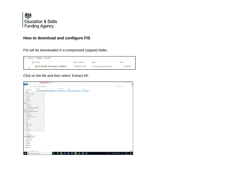

FIS will be downloaded in a compressed (zipped) folder.



Click on the file and then select 'Extract All'.

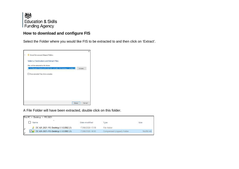

Select the Folder where you would like FIS to be extracted to and then click on 'Extract'.



A File Folder will have been extracted, double click on this folder.

|   | This PC $\ge$ Desktop $\ge$ FIS 2021                      |                  |                            |           |
|---|-----------------------------------------------------------|------------------|----------------------------|-----------|
|   | ∧<br>Name                                                 | Date modified    | Type                       | Size      |
| × | DC-ILR-2021-FIS-Desktop.1.1.0.0082 (1)                    | 17/08/2020 17:18 | File folder                |           |
|   | $\boxed{\bigcirc}$ DC-ILR-2021-FIS-Desktop.1.1.0.0082 (1) | 17/08/2020 16:50 | Compressed (zipped) Folder | 56,650 KB |
|   |                                                           |                  |                            |           |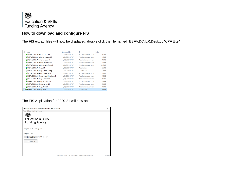

The FIS extract files will now be displayed, double click the file named "ESFA.DC.ILR.Desktop.WPF.Exe"

| Name                                       | Date modified    | Type                  | Size          |
|--------------------------------------------|------------------|-----------------------|---------------|
| ESFA.DC.ILR.DataStore.Export.dll           | 17/08/2020 17:17 | Application extension | 76 KB         |
| ESFA.DC.ILR.DataStore.Interface.dll        | 17/08/2020 17:17 | Application extension | <b>18 KB</b>  |
| ESFA.DC.ILR.DataStore.Model.dll            | 17/08/2020 17:17 | Application extension | 13 KB         |
| ESFA.DC.ILR.Datastore.Modules.dll          | 17/08/2020 17:17 | Application extension | <b>16 KB</b>  |
| ESFA.DC.ILR.DataStore.PersistData.dll      | 17/08/2020 17:17 | Application extension | 215 KB        |
| ESFA.DC.ILR.Desktop.CLI                    | 17/08/2020 17:17 | Application           | 25 KB         |
| ESFA.DC.ILR.Desktop.CLI.exe.config         | 17/08/2020 17:17 | <b>CONFIG File</b>    | 23 KB         |
| ESFA.DC.ILR.Desktop.Interface.dll          | 17/08/2020 17:17 | Application extension | 11 KB         |
| ESFA.DC.ILR.Desktop.Internal.Interface.dll | 17/08/2020 17:17 | Application extension | <b>13 KB</b>  |
| ESFA.DC.ILR.Desktop.Models.dll             | 17/08/2020 17:17 | Application extension | <b>13 KB</b>  |
| ESFA.DC.ILR.Desktop.Modules.dll            | 17/08/2020 17:17 | Application extension | 22 KB         |
| ESFA.DC.ILR.Desktop.Service.dll            | 17/08/2020 17:17 | Application extension | 61 KB         |
| ESFA.DC.ILR.Desktop.Utils.dll              | 17/08/2020 17:17 | Application extension | 13 KB         |
| SIS ESFA.DC.ILR.Desktop.WPF                | 17/08/2020 17:17 | Application           | <b>138 KB</b> |

#### The FIS Application for 2020-21 will now open.

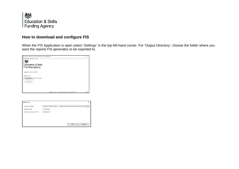

When the FIS Application is open select 'Settings' in the top left-hand corner. For 'Output Directory', choose the folder where you want the reports FIS generates to be exported to.

| FIS Funding Information System (FIS) Funding Year 2020-2021 |                                                                        | o | $\times$  |
|-------------------------------------------------------------|------------------------------------------------------------------------|---|-----------|
| Report Filters Settings About                               |                                                                        |   |           |
| <b>Education &amp; Skills</b><br><b>Funding Agency</b>      |                                                                        |   |           |
| Import an XML or Zip File.<br>Import a file                 |                                                                        |   |           |
|                                                             |                                                                        |   |           |
| No file chosen<br>Choose File                               |                                                                        |   |           |
| Process File                                                |                                                                        |   |           |
|                                                             |                                                                        |   |           |
|                                                             |                                                                        |   |           |
|                                                             |                                                                        |   |           |
|                                                             | Application Version: 1.1.0 Reference Data Version: 0.1.256.20200715085 |   | Released: |

| <b>FIS Settings</b>       | ×                                                                               |
|---------------------------|---------------------------------------------------------------------------------|
| <b>Output Directory:</b>  | C:\Users\KThandi\OneDrive - Department for Education\Documents\Fundir<br>$\sim$ |
| Export to SQL:            | (Optional)                                                                      |
| Export to Access and CSV: | (Optional)                                                                      |
|                           |                                                                                 |
|                           |                                                                                 |
|                           |                                                                                 |
|                           | Cancel<br>OK                                                                    |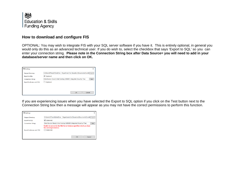

OPTIONAL: You may wish to integrate FIS with your SQL server software if you have it. This is entirely optional, in general you would only do this as an advanced technical user. If you do wish to, select the checkbox that says 'Export to SQL' so you can enter your connection string. **Please note in the Connection String box after Data Source= you will need to add in your database/server name and then click on OK.**

| <b>FIS Settings</b>       | ×                                                                               |
|---------------------------|---------------------------------------------------------------------------------|
| Output Directory:         | C:\Users\KThandi\OneDrive - Department for Education\Documents\Fundir<br>$\sim$ |
| <b>Export to SQL:</b>     | √ (Optional)                                                                    |
| <b>Connection String:</b> | Data Source=(local);Initial Catalog=ILR2021;Integrated Security=True<br>Test    |
| Export to Access and CSV: | (Optional)                                                                      |
|                           |                                                                                 |
|                           |                                                                                 |
|                           | OK<br>Cancel                                                                    |

If you are experiencing issues when you have selected the Export to SQL option if you click on the Test button next to the Connection String box then a message will appear as you may not have the correct permissions to perform this function.

| <b>FIS Settings</b>       |                                                                                                    | ×        |
|---------------------------|----------------------------------------------------------------------------------------------------|----------|
| Output Directory:         | C:\Users\KThandi\OneDrive - Department for Education\Documents\Fundir                              | $\cdots$ |
| Export to SQL:            | $\triangledown$ (Optional)                                                                         |          |
| <b>Connection String:</b> | Data Source=(local);Initial Catalog=ILR2021;Integrated Security=True                               | Test     |
|                           | Unable to connect to the SQL Server Instance specified, check you have<br>the correct permissions. |          |
| Export to Access and CSV: | (Optional)                                                                                         |          |
|                           |                                                                                                    |          |
|                           | OK<br>Cancel                                                                                       |          |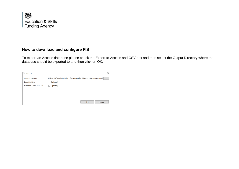

To export an Access database please check the Export to Access and CSV box and then select the Output Directory where the database should be exported to and then click on OK.

| <b>FIS Settings</b>       | ×                                                                                 |
|---------------------------|-----------------------------------------------------------------------------------|
| <b>Output Directory:</b>  | C:\Users\KThandi\OneDrive - Department for Education\Documents\Fundir<br>$\cdots$ |
| Export to SQL:            | (Optional)                                                                        |
| Export to Access and CSV: | $\sqrt{}$ (Optional)                                                              |
|                           |                                                                                   |
|                           |                                                                                   |
|                           |                                                                                   |
|                           | OK<br>Cancel                                                                      |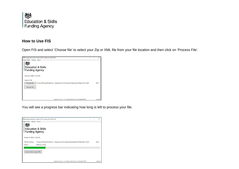

## **How to Use FIS**

Open FIS and select 'Choose file' to select your Zip or XML file from your file location and then click on 'Process File'.



You will see a progress bar indicating how long is left to process your file.

|                               | FIS Funding Information System (FIS) Funding Year 2020-2021                       | $\times$  |
|-------------------------------|-----------------------------------------------------------------------------------|-----------|
| Report Filters Settings About |                                                                                   |           |
| Funding Agency                | <b>Education &amp; Skills</b>                                                     |           |
| Import an XML or Zip File.    |                                                                                   |           |
| File Processing:              | C:\Users\KThandi\OneDrive - Department for Education\Desktop\FIS Beta 2021 2\ILR- | $-2021$   |
| Status:                       | <b>Reference Data</b>                                                             |           |
| Cancel and re-import file     |                                                                                   |           |
|                               | Application Version: 1.1.0 Reference Data Version: 0.1.256.20200715085            | Released: |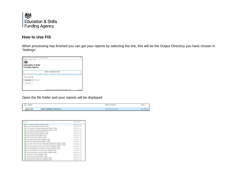

## **How to Use FIS**

When processing has finished you can get your reports by selecting the link, this will be the Output Directory you have chosen in 'Settings'.

| FIS Funding Information System (FIS) Funding Year 2020-2021 |                                                                                                                                                     | $\sim$ | ×         |
|-------------------------------------------------------------|-----------------------------------------------------------------------------------------------------------------------------------------------------|--------|-----------|
| Report Filters Settings About                               |                                                                                                                                                     |        |           |
| <b>Education &amp; Skills</b><br>Funding Agency             |                                                                                                                                                     |        |           |
|                                                             | Import successfully processed<br>reports and exports here: CAUsersAKThandi\OneDrive - Department for Education\Documents\Funding Information System |        |           |
| <b>Import another file</b>                                  |                                                                                                                                                     |        |           |
| No file chosen<br><b>Choose File</b>                        |                                                                                                                                                     |        |           |
| Process File                                                |                                                                                                                                                     |        |           |
|                                                             |                                                                                                                                                     |        |           |
|                                                             | Application Vention: 1.1.0 Reference Data Vention: 0.1.256.20200715085                                                                              |        | Released: |

Open the file folder and your reports will be displayed

| Name |                          | Date modified<br>n an an a-mar an a | Vpe |
|------|--------------------------|-------------------------------------|-----|
| ILR- | -2021-20200629-154332-01 | 18/08/2020 14:24                    |     |

| Name                                                                        | Date modified    |
|-----------------------------------------------------------------------------|------------------|
| 9 16-19 Funding Claim Report 20200818-142202                                | 18/08/2020 14:23 |
| 16-19 Funding Claim Report 20200818-142400                                  | 18/08/2020 14:24 |
| 16-19 Summary of Funding by Student Report 20200818-142202                  | 18/08/2020 14:23 |
| 16-19 Summary of Funding by Student Report 20200818-142400                  | 18/08/2020 14:24 |
| Adult Funding Claim Report 20200618-142202                                  | 18/08/2020 14:23 |
| Adult Funding Claim Report 20200618-142400                                  | 18/08/2020 14:24 |
| ALLB Occupancy Report 20200818-142202                                       | 18/08/2020 14:23 |
| ALLB Occupancy Report 20200818-142400                                       | 18/08/2020 14:24 |
| Apps Indicative Earnings Report 20200818-142202                             | 18/08/2020 14:23 |
| Apps Indicative Earnings Report 20200818-142400                             | 18/08/2020 14:24 |
| CL Summary of Learners by Non-Single Budget Category Report 20200818-142202 | 18/08/2020 14:23 |
| CL Summary of Learners by Non-Single Budget Category Report 20200818-142400 | 18/08/2020 14:24 |
| Devolved Adult Education Funding Summary Report 20200818-142202             | 18/08/2020 14:23 |
| Devolved Adult Education Funding Summary Report 20200818-142400             | 18/08/2020 14:24 |
| Devolved Adult Education Occupancy Report 20200818-142202                   | 18/08/2020 14:23 |
| Devolved Adult Education Occupancy Report 20200818-142400                   | 18/08/2020 14:24 |
| Funding Summary Report 20200818-142202                                      | 18/08/2020 14:23 |
| Funding Summary Report 20200818-142400                                      | 18/08/2020 14:24 |
| High Needs Students Detail Report 20200818-142202                           | 18/08/2020 14:23 |
| High Needs Students Detail Report 20200818-142400                           | 18/08/2020 14:24 |